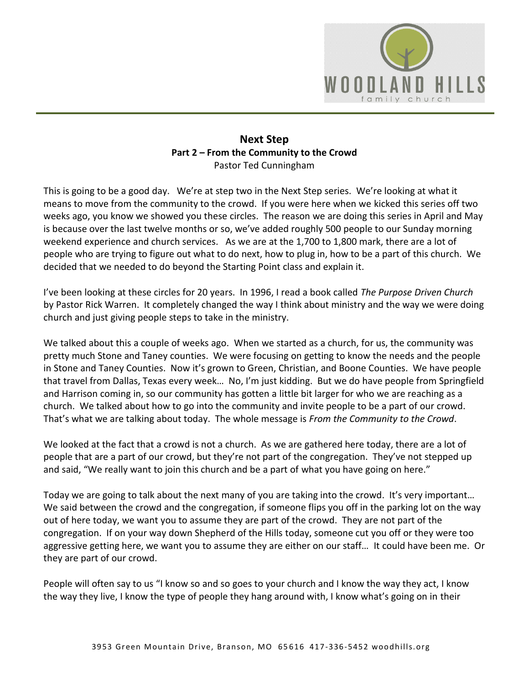

# **Next Step Part 2 – From the Community to the Crowd**  Pastor Ted Cunningham

This is going to be a good day. We're at step two in the Next Step series. We're looking at what it means to move from the community to the crowd. If you were here when we kicked this series off two weeks ago, you know we showed you these circles. The reason we are doing this series in April and May is because over the last twelve months or so, we've added roughly 500 people to our Sunday morning weekend experience and church services. As we are at the 1,700 to 1,800 mark, there are a lot of people who are trying to figure out what to do next, how to plug in, how to be a part of this church. We decided that we needed to do beyond the Starting Point class and explain it.

I've been looking at these circles for 20 years. In 1996, I read a book called *The Purpose Driven Church* by Pastor Rick Warren. It completely changed the way I think about ministry and the way we were doing church and just giving people steps to take in the ministry.

We talked about this a couple of weeks ago. When we started as a church, for us, the community was pretty much Stone and Taney counties. We were focusing on getting to know the needs and the people in Stone and Taney Counties. Now it's grown to Green, Christian, and Boone Counties. We have people that travel from Dallas, Texas every week… No, I'm just kidding. But we do have people from Springfield and Harrison coming in, so our community has gotten a little bit larger for who we are reaching as a church. We talked about how to go into the community and invite people to be a part of our crowd. That's what we are talking about today. The whole message is *From the Community to the Crowd*.

We looked at the fact that a crowd is not a church. As we are gathered here today, there are a lot of people that are a part of our crowd, but they're not part of the congregation. They've not stepped up and said, "We really want to join this church and be a part of what you have going on here."

Today we are going to talk about the next many of you are taking into the crowd. It's very important… We said between the crowd and the congregation, if someone flips you off in the parking lot on the way out of here today, we want you to assume they are part of the crowd. They are not part of the congregation. If on your way down Shepherd of the Hills today, someone cut you off or they were too aggressive getting here, we want you to assume they are either on our staff… It could have been me. Or they are part of our crowd.

People will often say to us "I know so and so goes to your church and I know the way they act, I know the way they live, I know the type of people they hang around with, I know what's going on in their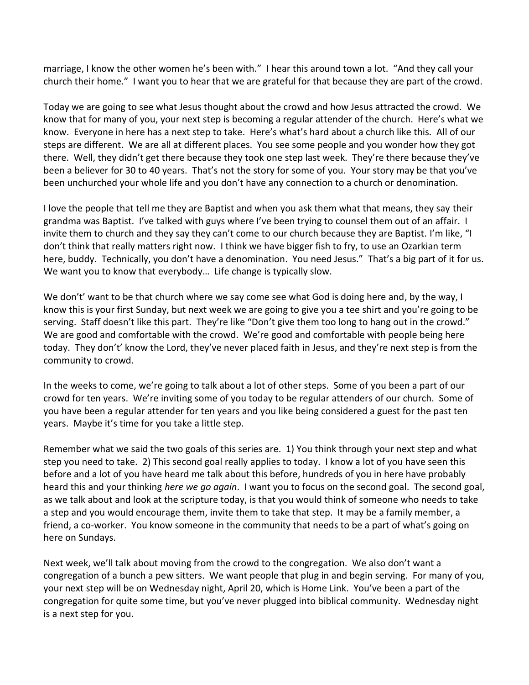marriage, I know the other women he's been with." I hear this around town a lot. "And they call your church their home." I want you to hear that we are grateful for that because they are part of the crowd.

Today we are going to see what Jesus thought about the crowd and how Jesus attracted the crowd. We know that for many of you, your next step is becoming a regular attender of the church. Here's what we know. Everyone in here has a next step to take. Here's what's hard about a church like this. All of our steps are different. We are all at different places. You see some people and you wonder how they got there. Well, they didn't get there because they took one step last week. They're there because they've been a believer for 30 to 40 years. That's not the story for some of you. Your story may be that you've been unchurched your whole life and you don't have any connection to a church or denomination.

I love the people that tell me they are Baptist and when you ask them what that means, they say their grandma was Baptist. I've talked with guys where I've been trying to counsel them out of an affair. I invite them to church and they say they can't come to our church because they are Baptist. I'm like, "I don't think that really matters right now. I think we have bigger fish to fry, to use an Ozarkian term here, buddy. Technically, you don't have a denomination. You need Jesus." That's a big part of it for us. We want you to know that everybody… Life change is typically slow.

We don't' want to be that church where we say come see what God is doing here and, by the way, I know this is your first Sunday, but next week we are going to give you a tee shirt and you're going to be serving. Staff doesn't like this part. They're like "Don't give them too long to hang out in the crowd." We are good and comfortable with the crowd. We're good and comfortable with people being here today. They don't' know the Lord, they've never placed faith in Jesus, and they're next step is from the community to crowd.

In the weeks to come, we're going to talk about a lot of other steps. Some of you been a part of our crowd for ten years. We're inviting some of you today to be regular attenders of our church. Some of you have been a regular attender for ten years and you like being considered a guest for the past ten years. Maybe it's time for you take a little step.

Remember what we said the two goals of this series are. 1) You think through your next step and what step you need to take. 2) This second goal really applies to today. I know a lot of you have seen this before and a lot of you have heard me talk about this before, hundreds of you in here have probably heard this and your thinking *here we go again*. I want you to focus on the second goal. The second goal, as we talk about and look at the scripture today, is that you would think of someone who needs to take a step and you would encourage them, invite them to take that step. It may be a family member, a friend, a co-worker. You know someone in the community that needs to be a part of what's going on here on Sundays.

Next week, we'll talk about moving from the crowd to the congregation. We also don't want a congregation of a bunch a pew sitters. We want people that plug in and begin serving. For many of you, your next step will be on Wednesday night, April 20, which is Home Link. You've been a part of the congregation for quite some time, but you've never plugged into biblical community. Wednesday night is a next step for you.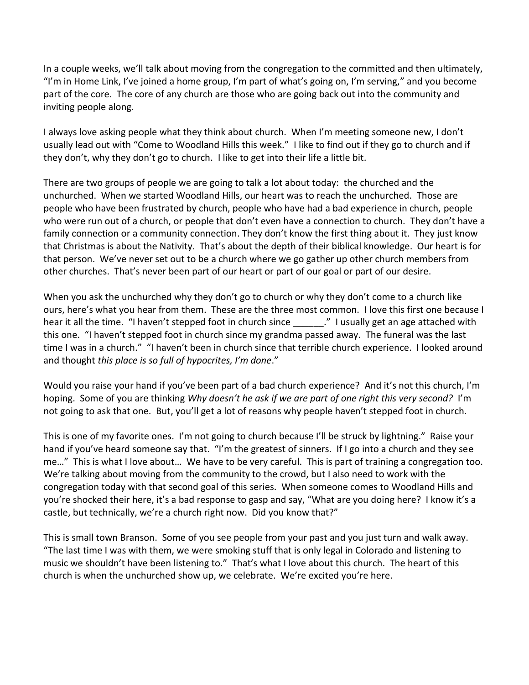In a couple weeks, we'll talk about moving from the congregation to the committed and then ultimately, "I'm in Home Link, I've joined a home group, I'm part of what's going on, I'm serving," and you become part of the core. The core of any church are those who are going back out into the community and inviting people along.

I always love asking people what they think about church. When I'm meeting someone new, I don't usually lead out with "Come to Woodland Hills this week." I like to find out if they go to church and if they don't, why they don't go to church. I like to get into their life a little bit.

There are two groups of people we are going to talk a lot about today: the churched and the unchurched. When we started Woodland Hills, our heart was to reach the unchurched. Those are people who have been frustrated by church, people who have had a bad experience in church, people who were run out of a church, or people that don't even have a connection to church. They don't have a family connection or a community connection. They don't know the first thing about it. They just know that Christmas is about the Nativity. That's about the depth of their biblical knowledge. Our heart is for that person. We've never set out to be a church where we go gather up other church members from other churches. That's never been part of our heart or part of our goal or part of our desire.

When you ask the unchurched why they don't go to church or why they don't come to a church like ours, here's what you hear from them. These are the three most common. I love this first one because I hear it all the time. "I haven't stepped foot in church since  $\blacksquare$  "I usually get an age attached with this one. "I haven't stepped foot in church since my grandma passed away. The funeral was the last time I was in a church." "I haven't been in church since that terrible church experience. I looked around and thought *this place is so full of hypocrites, I'm done*."

Would you raise your hand if you've been part of a bad church experience? And it's not this church, I'm hoping. Some of you are thinking *Why doesn't he ask if we are part of one right this very second?* I'm not going to ask that one. But, you'll get a lot of reasons why people haven't stepped foot in church.

This is one of my favorite ones. I'm not going to church because I'll be struck by lightning." Raise your hand if you've heard someone say that. "I'm the greatest of sinners. If I go into a church and they see me…" This is what I love about… We have to be very careful. This is part of training a congregation too. We're talking about moving from the community to the crowd, but I also need to work with the congregation today with that second goal of this series. When someone comes to Woodland Hills and you're shocked their here, it's a bad response to gasp and say, "What are you doing here? I know it's a castle, but technically, we're a church right now. Did you know that?"

This is small town Branson. Some of you see people from your past and you just turn and walk away. "The last time I was with them, we were smoking stuff that is only legal in Colorado and listening to music we shouldn't have been listening to." That's what I love about this church. The heart of this church is when the unchurched show up, we celebrate. We're excited you're here.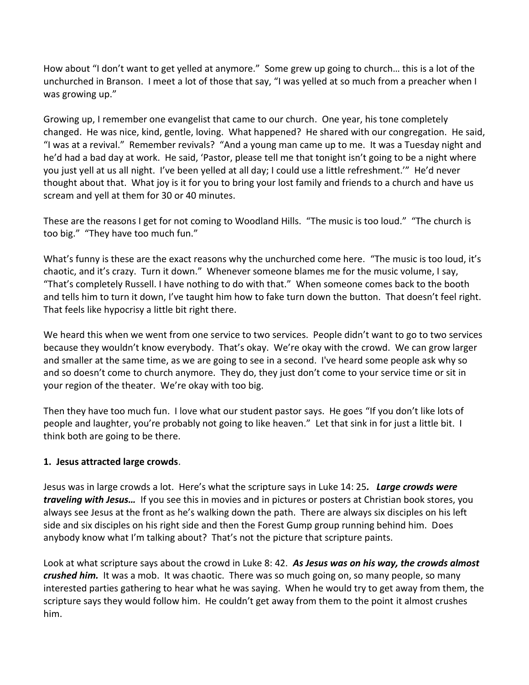How about "I don't want to get yelled at anymore." Some grew up going to church… this is a lot of the unchurched in Branson. I meet a lot of those that say, "I was yelled at so much from a preacher when I was growing up."

Growing up, I remember one evangelist that came to our church. One year, his tone completely changed. He was nice, kind, gentle, loving. What happened? He shared with our congregation. He said, "I was at a revival." Remember revivals? "And a young man came up to me. It was a Tuesday night and he'd had a bad day at work. He said, 'Pastor, please tell me that tonight isn't going to be a night where you just yell at us all night. I've been yelled at all day; I could use a little refreshment.'" He'd never thought about that. What joy is it for you to bring your lost family and friends to a church and have us scream and yell at them for 30 or 40 minutes.

These are the reasons I get for not coming to Woodland Hills. "The music is too loud." "The church is too big." "They have too much fun."

What's funny is these are the exact reasons why the unchurched come here. "The music is too loud, it's chaotic, and it's crazy. Turn it down." Whenever someone blames me for the music volume, I say, "That's completely Russell. I have nothing to do with that." When someone comes back to the booth and tells him to turn it down, I've taught him how to fake turn down the button. That doesn't feel right. That feels like hypocrisy a little bit right there.

We heard this when we went from one service to two services. People didn't want to go to two services because they wouldn't know everybody. That's okay. We're okay with the crowd. We can grow larger and smaller at the same time, as we are going to see in a second. I've heard some people ask why so and so doesn't come to church anymore. They do, they just don't come to your service time or sit in your region of the theater. We're okay with too big.

Then they have too much fun. I love what our student pastor says. He goes "If you don't like lots of people and laughter, you're probably not going to like heaven." Let that sink in for just a little bit. I think both are going to be there.

# **1. Jesus attracted large crowds**.

Jesus was in large crowds a lot. Here's what the scripture says in Luke 14: 25*. Large crowds were traveling with Jesus…* If you see this in movies and in pictures or posters at Christian book stores, you always see Jesus at the front as he's walking down the path. There are always six disciples on his left side and six disciples on his right side and then the Forest Gump group running behind him. Does anybody know what I'm talking about? That's not the picture that scripture paints.

Look at what scripture says about the crowd in Luke 8: 42. *As Jesus was on his way, the crowds almost crushed him.* It was a mob. It was chaotic. There was so much going on, so many people, so many interested parties gathering to hear what he was saying. When he would try to get away from them, the scripture says they would follow him. He couldn't get away from them to the point it almost crushes him.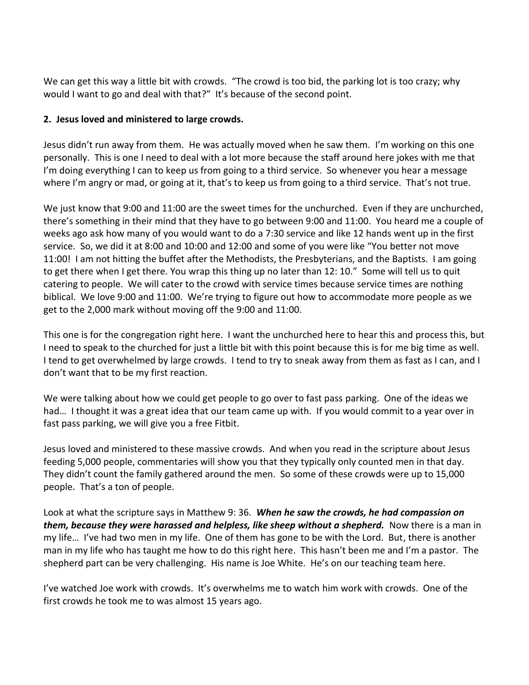We can get this way a little bit with crowds. "The crowd is too bid, the parking lot is too crazy; why would I want to go and deal with that?" It's because of the second point.

# **2. Jesus loved and ministered to large crowds.**

Jesus didn't run away from them. He was actually moved when he saw them. I'm working on this one personally. This is one I need to deal with a lot more because the staff around here jokes with me that I'm doing everything I can to keep us from going to a third service. So whenever you hear a message where I'm angry or mad, or going at it, that's to keep us from going to a third service. That's not true.

We just know that 9:00 and 11:00 are the sweet times for the unchurched. Even if they are unchurched, there's something in their mind that they have to go between 9:00 and 11:00. You heard me a couple of weeks ago ask how many of you would want to do a 7:30 service and like 12 hands went up in the first service. So, we did it at 8:00 and 10:00 and 12:00 and some of you were like "You better not move 11:00! I am not hitting the buffet after the Methodists, the Presbyterians, and the Baptists. I am going to get there when I get there. You wrap this thing up no later than 12: 10." Some will tell us to quit catering to people. We will cater to the crowd with service times because service times are nothing biblical. We love 9:00 and 11:00. We're trying to figure out how to accommodate more people as we get to the 2,000 mark without moving off the 9:00 and 11:00.

This one is for the congregation right here. I want the unchurched here to hear this and process this, but I need to speak to the churched for just a little bit with this point because this is for me big time as well. I tend to get overwhelmed by large crowds. I tend to try to sneak away from them as fast as I can, and I don't want that to be my first reaction.

We were talking about how we could get people to go over to fast pass parking. One of the ideas we had… I thought it was a great idea that our team came up with. If you would commit to a year over in fast pass parking, we will give you a free Fitbit.

Jesus loved and ministered to these massive crowds. And when you read in the scripture about Jesus feeding 5,000 people, commentaries will show you that they typically only counted men in that day. They didn't count the family gathered around the men. So some of these crowds were up to 15,000 people. That's a ton of people.

Look at what the scripture says in Matthew 9: 36. *When he saw the crowds, he had compassion on them, because they were harassed and helpless, like sheep without a shepherd.* Now there is a man in my life… I've had two men in my life. One of them has gone to be with the Lord. But, there is another man in my life who has taught me how to do this right here. This hasn't been me and I'm a pastor. The shepherd part can be very challenging. His name is Joe White. He's on our teaching team here.

I've watched Joe work with crowds. It's overwhelms me to watch him work with crowds. One of the first crowds he took me to was almost 15 years ago.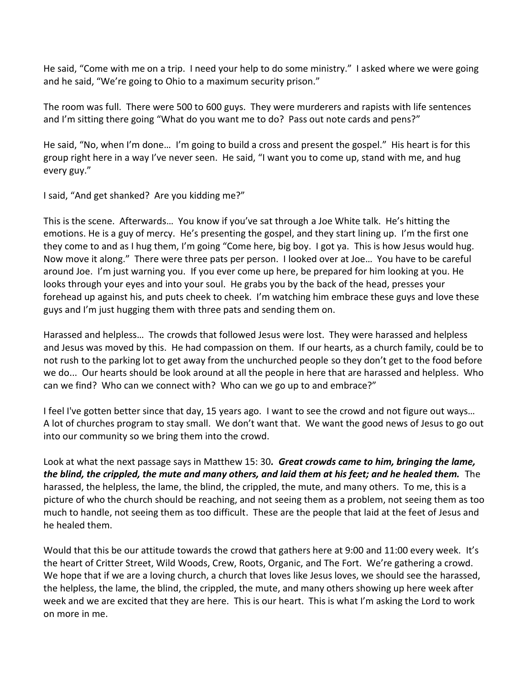He said, "Come with me on a trip. I need your help to do some ministry." I asked where we were going and he said, "We're going to Ohio to a maximum security prison."

The room was full. There were 500 to 600 guys. They were murderers and rapists with life sentences and I'm sitting there going "What do you want me to do? Pass out note cards and pens?"

He said, "No, when I'm done… I'm going to build a cross and present the gospel." His heart is for this group right here in a way I've never seen. He said, "I want you to come up, stand with me, and hug every guy."

I said, "And get shanked? Are you kidding me?"

This is the scene. Afterwards… You know if you've sat through a Joe White talk. He's hitting the emotions. He is a guy of mercy. He's presenting the gospel, and they start lining up. I'm the first one they come to and as I hug them, I'm going "Come here, big boy. I got ya. This is how Jesus would hug. Now move it along." There were three pats per person. I looked over at Joe… You have to be careful around Joe. I'm just warning you. If you ever come up here, be prepared for him looking at you. He looks through your eyes and into your soul. He grabs you by the back of the head, presses your forehead up against his, and puts cheek to cheek. I'm watching him embrace these guys and love these guys and I'm just hugging them with three pats and sending them on.

Harassed and helpless… The crowds that followed Jesus were lost. They were harassed and helpless and Jesus was moved by this. He had compassion on them. If our hearts, as a church family, could be to not rush to the parking lot to get away from the unchurched people so they don't get to the food before we do... Our hearts should be look around at all the people in here that are harassed and helpless. Who can we find? Who can we connect with? Who can we go up to and embrace?"

I feel I've gotten better since that day, 15 years ago. I want to see the crowd and not figure out ways… A lot of churches program to stay small. We don't want that. We want the good news of Jesus to go out into our community so we bring them into the crowd.

Look at what the next passage says in Matthew 15: 30*. Great crowds came to him, bringing the lame, the blind, the crippled, the mute and many others, and laid them at his feet; and he healed them.* The harassed, the helpless, the lame, the blind, the crippled, the mute, and many others. To me, this is a picture of who the church should be reaching, and not seeing them as a problem, not seeing them as too much to handle, not seeing them as too difficult. These are the people that laid at the feet of Jesus and he healed them.

Would that this be our attitude towards the crowd that gathers here at 9:00 and 11:00 every week. It's the heart of Critter Street, Wild Woods, Crew, Roots, Organic, and The Fort. We're gathering a crowd. We hope that if we are a loving church, a church that loves like Jesus loves, we should see the harassed, the helpless, the lame, the blind, the crippled, the mute, and many others showing up here week after week and we are excited that they are here. This is our heart. This is what I'm asking the Lord to work on more in me.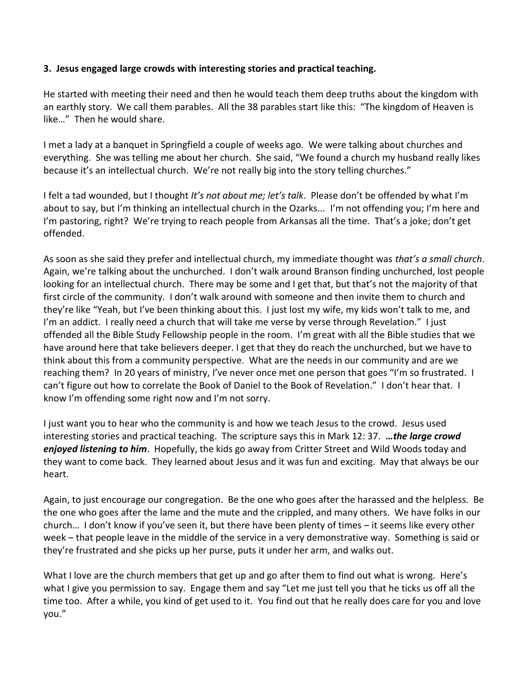#### **3. Jesus engaged large crowds with interesting stories and practical teaching.**

He started with meeting their need and then he would teach them deep truths about the kingdom with an earthly story. We call them parables. All the 38 parables start like this: "The kingdom of Heaven is like…" Then he would share.

I met a lady at a banquet in Springfield a couple of weeks ago. We were talking about churches and everything. She was telling me about her church. She said, "We found a church my husband really likes because it's an intellectual church. We're not really big into the story telling churches."

I felt a tad wounded, but I thought *It's not about me; let's talk*. Please don't be offended by what I'm about to say, but I'm thinking an intellectual church in the Ozarks... I'm not offending you; I'm here and I'm pastoring, right? We're trying to reach people from Arkansas all the time. That's a joke; don't get offended.

As soon as she said they prefer and intellectual church, my immediate thought was *that's a small church*. Again, we're talking about the unchurched. I don't walk around Branson finding unchurched, lost people looking for an intellectual church. There may be some and I get that, but that's not the majority of that first circle of the community. I don't walk around with someone and then invite them to church and they're like "Yeah, but I've been thinking about this. I just lost my wife, my kids won't talk to me, and I'm an addict. I really need a church that will take me verse by verse through Revelation." I just offended all the Bible Study Fellowship people in the room. I'm great with all the Bible studies that we have around here that take believers deeper. I get that they do reach the unchurched, but we have to think about this from a community perspective. What are the needs in our community and are we reaching them? In 20 years of ministry, I've never once met one person that goes "I'm so frustrated. I can't figure out how to correlate the Book of Daniel to the Book of Revelation." I don't hear that. I know I'm offending some right now and I'm not sorry.

I just want you to hear who the community is and how we teach Jesus to the crowd. Jesus used interesting stories and practical teaching. The scripture says this in Mark 12: 37. *…the large crowd enjoyed listening to him*. Hopefully, the kids go away from Critter Street and Wild Woods today and they want to come back. They learned about Jesus and it was fun and exciting. May that always be our heart.

Again, to just encourage our congregation. Be the one who goes after the harassed and the helpless. Be the one who goes after the lame and the mute and the crippled, and many others. We have folks in our church… I don't know if you've seen it, but there have been plenty of times – it seems like every other week – that people leave in the middle of the service in a very demonstrative way. Something is said or they're frustrated and she picks up her purse, puts it under her arm, and walks out.

What I love are the church members that get up and go after them to find out what is wrong. Here's what I give you permission to say. Engage them and say "Let me just tell you that he ticks us off all the time too. After a while, you kind of get used to it. You find out that he really does care for you and love you."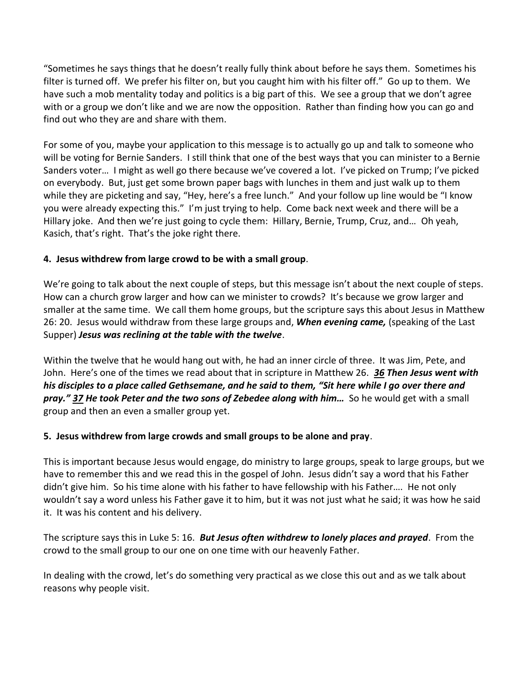"Sometimes he says things that he doesn't really fully think about before he says them. Sometimes his filter is turned off. We prefer his filter on, but you caught him with his filter off." Go up to them. We have such a mob mentality today and politics is a big part of this. We see a group that we don't agree with or a group we don't like and we are now the opposition. Rather than finding how you can go and find out who they are and share with them.

For some of you, maybe your application to this message is to actually go up and talk to someone who will be voting for Bernie Sanders. I still think that one of the best ways that you can minister to a Bernie Sanders voter… I might as well go there because we've covered a lot. I've picked on Trump; I've picked on everybody. But, just get some brown paper bags with lunches in them and just walk up to them while they are picketing and say, "Hey, here's a free lunch." And your follow up line would be "I know you were already expecting this." I'm just trying to help. Come back next week and there will be a Hillary joke. And then we're just going to cycle them: Hillary, Bernie, Trump, Cruz, and… Oh yeah, Kasich, that's right. That's the joke right there.

# **4. Jesus withdrew from large crowd to be with a small group**.

We're going to talk about the next couple of steps, but this message isn't about the next couple of steps. How can a church grow larger and how can we minister to crowds? It's because we grow larger and smaller at the same time. We call them home groups, but the scripture says this about Jesus in Matthew 26: 20. Jesus would withdraw from these large groups and, *When evening came,* (speaking of the Last Supper) *Jesus was reclining at the table with the twelve*.

Within the twelve that he would hang out with, he had an inner circle of three. It was Jim, Pete, and John. Here's one of the times we read about that in scripture in Matthew 26. *[36](http://www.studylight.org/desk/?q=mt%2026:36&t1=en_niv&sr=1) Then Jesus went with his disciples to a place called Gethsemane, and he said to them, "Sit here while I go over there and pray." [37](http://www.studylight.org/desk/?q=mt%2026:37&t1=en_niv&sr=1) He took Peter and the two sons of Zebedee along with him…* So he would get with a small group and then an even a smaller group yet.

# **5. Jesus withdrew from large crowds and small groups to be alone and pray**.

This is important because Jesus would engage, do ministry to large groups, speak to large groups, but we have to remember this and we read this in the gospel of John. Jesus didn't say a word that his Father didn't give him. So his time alone with his father to have fellowship with his Father…. He not only wouldn't say a word unless his Father gave it to him, but it was not just what he said; it was how he said it. It was his content and his delivery.

The scripture says this in Luke 5: 16. *But Jesus often withdrew to lonely places and prayed*. From the crowd to the small group to our one on one time with our heavenly Father.

In dealing with the crowd, let's do something very practical as we close this out and as we talk about reasons why people visit.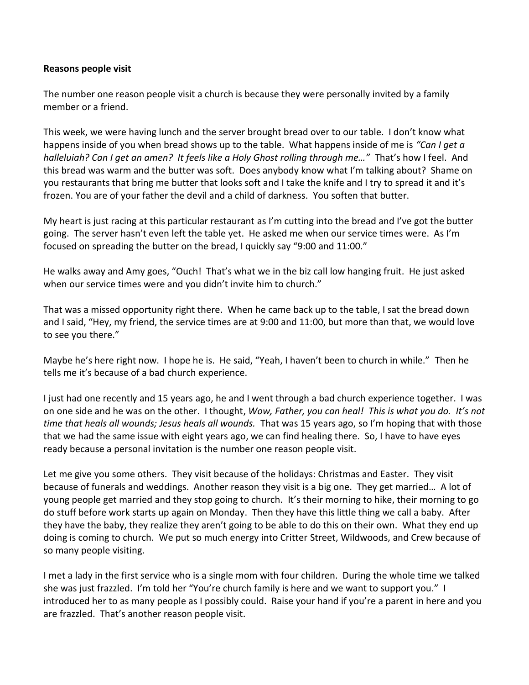#### **Reasons people visit**

The number one reason people visit a church is because they were personally invited by a family member or a friend.

This week, we were having lunch and the server brought bread over to our table. I don't know what happens inside of you when bread shows up to the table. What happens inside of me is *"Can I get a halleluiah? Can I get an amen? It feels like a Holy Ghost rolling through me…"* That's how I feel. And this bread was warm and the butter was soft. Does anybody know what I'm talking about? Shame on you restaurants that bring me butter that looks soft and I take the knife and I try to spread it and it's frozen. You are of your father the devil and a child of darkness. You soften that butter.

My heart is just racing at this particular restaurant as I'm cutting into the bread and I've got the butter going. The server hasn't even left the table yet. He asked me when our service times were. As I'm focused on spreading the butter on the bread, I quickly say "9:00 and 11:00."

He walks away and Amy goes, "Ouch! That's what we in the biz call low hanging fruit. He just asked when our service times were and you didn't invite him to church."

That was a missed opportunity right there. When he came back up to the table, I sat the bread down and I said, "Hey, my friend, the service times are at 9:00 and 11:00, but more than that, we would love to see you there."

Maybe he's here right now. I hope he is. He said, "Yeah, I haven't been to church in while." Then he tells me it's because of a bad church experience.

I just had one recently and 15 years ago, he and I went through a bad church experience together. I was on one side and he was on the other. I thought, *Wow, Father, you can heal! This is what you do. It's not time that heals all wounds; Jesus heals all wounds.* That was 15 years ago, so I'm hoping that with those that we had the same issue with eight years ago, we can find healing there. So, I have to have eyes ready because a personal invitation is the number one reason people visit.

Let me give you some others. They visit because of the holidays: Christmas and Easter. They visit because of funerals and weddings. Another reason they visit is a big one. They get married… A lot of young people get married and they stop going to church. It's their morning to hike, their morning to go do stuff before work starts up again on Monday. Then they have this little thing we call a baby. After they have the baby, they realize they aren't going to be able to do this on their own. What they end up doing is coming to church. We put so much energy into Critter Street, Wildwoods, and Crew because of so many people visiting.

I met a lady in the first service who is a single mom with four children. During the whole time we talked she was just frazzled. I'm told her "You're church family is here and we want to support you." I introduced her to as many people as I possibly could. Raise your hand if you're a parent in here and you are frazzled. That's another reason people visit.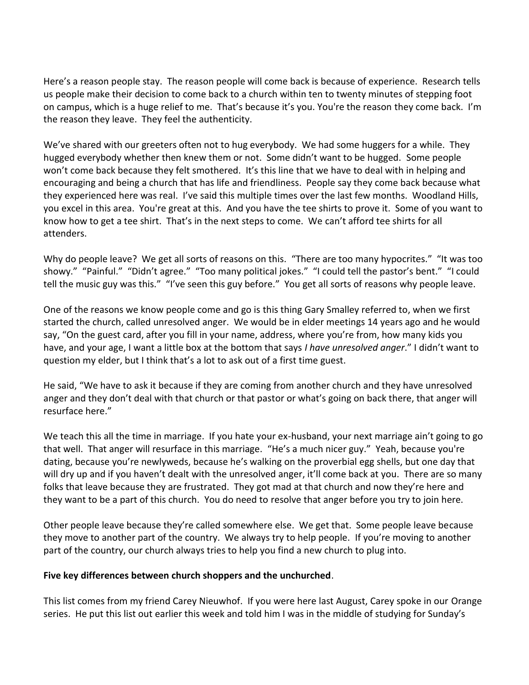Here's a reason people stay. The reason people will come back is because of experience. Research tells us people make their decision to come back to a church within ten to twenty minutes of stepping foot on campus, which is a huge relief to me. That's because it's you. You're the reason they come back. I'm the reason they leave. They feel the authenticity.

We've shared with our greeters often not to hug everybody. We had some huggers for a while. They hugged everybody whether then knew them or not. Some didn't want to be hugged. Some people won't come back because they felt smothered. It's this line that we have to deal with in helping and encouraging and being a church that has life and friendliness. People say they come back because what they experienced here was real. I've said this multiple times over the last few months. Woodland Hills, you excel in this area. You're great at this. And you have the tee shirts to prove it. Some of you want to know how to get a tee shirt. That's in the next steps to come. We can't afford tee shirts for all attenders.

Why do people leave? We get all sorts of reasons on this. "There are too many hypocrites." "It was too showy." "Painful." "Didn't agree." "Too many political jokes." "I could tell the pastor's bent." "I could tell the music guy was this." "I've seen this guy before." You get all sorts of reasons why people leave.

One of the reasons we know people come and go is this thing Gary Smalley referred to, when we first started the church, called unresolved anger. We would be in elder meetings 14 years ago and he would say, "On the guest card, after you fill in your name, address, where you're from, how many kids you have, and your age, I want a little box at the bottom that says *I have unresolved anger*." I didn't want to question my elder, but I think that's a lot to ask out of a first time guest.

He said, "We have to ask it because if they are coming from another church and they have unresolved anger and they don't deal with that church or that pastor or what's going on back there, that anger will resurface here."

We teach this all the time in marriage. If you hate your ex-husband, your next marriage ain't going to go that well. That anger will resurface in this marriage. "He's a much nicer guy." Yeah, because you're dating, because you're newlyweds, because he's walking on the proverbial egg shells, but one day that will dry up and if you haven't dealt with the unresolved anger, it'll come back at you. There are so many folks that leave because they are frustrated. They got mad at that church and now they're here and they want to be a part of this church. You do need to resolve that anger before you try to join here.

Other people leave because they're called somewhere else. We get that. Some people leave because they move to another part of the country. We always try to help people. If you're moving to another part of the country, our church always tries to help you find a new church to plug into.

#### **Five key differences between church shoppers and the unchurched**.

This list comes from my friend Carey Nieuwhof. If you were here last August, Carey spoke in our Orange series. He put this list out earlier this week and told him I was in the middle of studying for Sunday's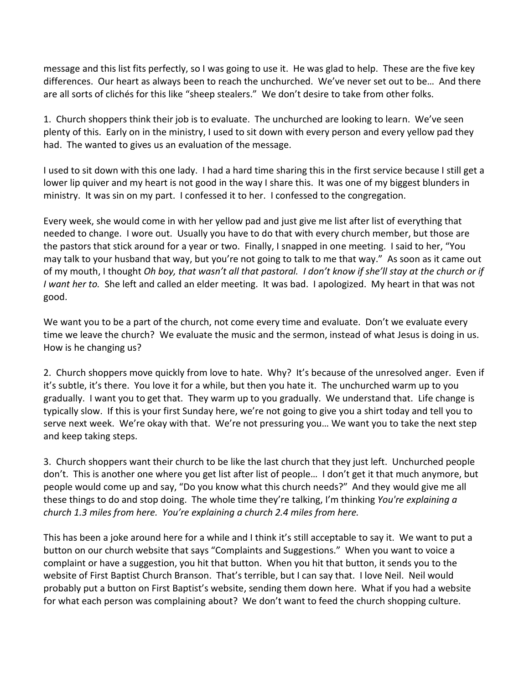message and this list fits perfectly, so I was going to use it. He was glad to help. These are the five key differences. Our heart as always been to reach the unchurched. We've never set out to be… And there are all sorts of clichés for this like "sheep stealers." We don't desire to take from other folks.

1. Church shoppers think their job is to evaluate. The unchurched are looking to learn. We've seen plenty of this. Early on in the ministry, I used to sit down with every person and every yellow pad they had. The wanted to gives us an evaluation of the message.

I used to sit down with this one lady. I had a hard time sharing this in the first service because I still get a lower lip quiver and my heart is not good in the way I share this. It was one of my biggest blunders in ministry. It was sin on my part. I confessed it to her. I confessed to the congregation.

Every week, she would come in with her yellow pad and just give me list after list of everything that needed to change. I wore out. Usually you have to do that with every church member, but those are the pastors that stick around for a year or two. Finally, I snapped in one meeting. I said to her, "You may talk to your husband that way, but you're not going to talk to me that way." As soon as it came out of my mouth, I thought *Oh boy, that wasn't all that pastoral. I don't know if she'll stay at the church or if I want her to.* She left and called an elder meeting. It was bad. I apologized. My heart in that was not good.

We want you to be a part of the church, not come every time and evaluate. Don't we evaluate every time we leave the church? We evaluate the music and the sermon, instead of what Jesus is doing in us. How is he changing us?

2. Church shoppers move quickly from love to hate. Why? It's because of the unresolved anger. Even if it's subtle, it's there. You love it for a while, but then you hate it. The unchurched warm up to you gradually. I want you to get that. They warm up to you gradually. We understand that. Life change is typically slow. If this is your first Sunday here, we're not going to give you a shirt today and tell you to serve next week. We're okay with that. We're not pressuring you… We want you to take the next step and keep taking steps.

3. Church shoppers want their church to be like the last church that they just left. Unchurched people don't. This is another one where you get list after list of people… I don't get it that much anymore, but people would come up and say, "Do you know what this church needs?" And they would give me all these things to do and stop doing. The whole time they're talking, I'm thinking *You're explaining a church 1.3 miles from here. You're explaining a church 2.4 miles from here.*

This has been a joke around here for a while and I think it's still acceptable to say it. We want to put a button on our church website that says "Complaints and Suggestions." When you want to voice a complaint or have a suggestion, you hit that button. When you hit that button, it sends you to the website of First Baptist Church Branson. That's terrible, but I can say that. I love Neil. Neil would probably put a button on First Baptist's website, sending them down here. What if you had a website for what each person was complaining about? We don't want to feed the church shopping culture.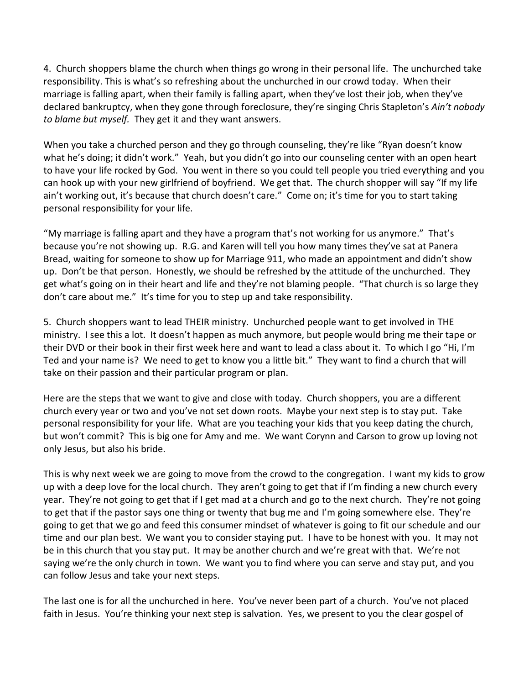4. Church shoppers blame the church when things go wrong in their personal life. The unchurched take responsibility. This is what's so refreshing about the unchurched in our crowd today. When their marriage is falling apart, when their family is falling apart, when they've lost their job, when they've declared bankruptcy, when they gone through foreclosure, they're singing Chris Stapleton's *Ain't nobody to blame but myself.* They get it and they want answers.

When you take a churched person and they go through counseling, they're like "Ryan doesn't know what he's doing; it didn't work." Yeah, but you didn't go into our counseling center with an open heart to have your life rocked by God. You went in there so you could tell people you tried everything and you can hook up with your new girlfriend of boyfriend. We get that. The church shopper will say "If my life ain't working out, it's because that church doesn't care." Come on; it's time for you to start taking personal responsibility for your life.

"My marriage is falling apart and they have a program that's not working for us anymore." That's because you're not showing up. R.G. and Karen will tell you how many times they've sat at Panera Bread, waiting for someone to show up for Marriage 911, who made an appointment and didn't show up. Don't be that person. Honestly, we should be refreshed by the attitude of the unchurched. They get what's going on in their heart and life and they're not blaming people. "That church is so large they don't care about me." It's time for you to step up and take responsibility.

5. Church shoppers want to lead THEIR ministry. Unchurched people want to get involved in THE ministry. I see this a lot. It doesn't happen as much anymore, but people would bring me their tape or their DVD or their book in their first week here and want to lead a class about it. To which I go "Hi, I'm Ted and your name is? We need to get to know you a little bit." They want to find a church that will take on their passion and their particular program or plan.

Here are the steps that we want to give and close with today. Church shoppers, you are a different church every year or two and you've not set down roots. Maybe your next step is to stay put. Take personal responsibility for your life. What are you teaching your kids that you keep dating the church, but won't commit? This is big one for Amy and me. We want Corynn and Carson to grow up loving not only Jesus, but also his bride.

This is why next week we are going to move from the crowd to the congregation. I want my kids to grow up with a deep love for the local church. They aren't going to get that if I'm finding a new church every year. They're not going to get that if I get mad at a church and go to the next church. They're not going to get that if the pastor says one thing or twenty that bug me and I'm going somewhere else. They're going to get that we go and feed this consumer mindset of whatever is going to fit our schedule and our time and our plan best. We want you to consider staying put. I have to be honest with you. It may not be in this church that you stay put. It may be another church and we're great with that. We're not saying we're the only church in town. We want you to find where you can serve and stay put, and you can follow Jesus and take your next steps.

The last one is for all the unchurched in here. You've never been part of a church. You've not placed faith in Jesus. You're thinking your next step is salvation. Yes, we present to you the clear gospel of